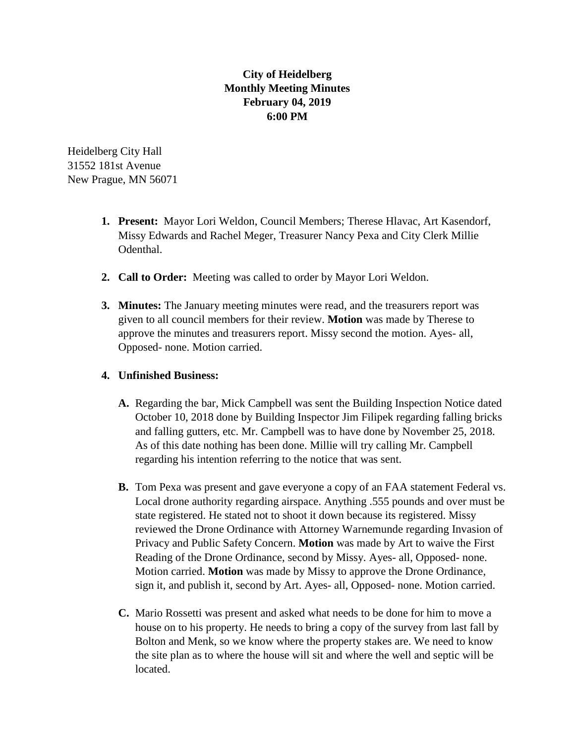## **City of Heidelberg Monthly Meeting Minutes February 04, 2019 6:00 PM**

Heidelberg City Hall 31552 181st Avenue New Prague, MN 56071

- **1. Present:** Mayor Lori Weldon, Council Members; Therese Hlavac, Art Kasendorf, Missy Edwards and Rachel Meger, Treasurer Nancy Pexa and City Clerk Millie Odenthal.
- **2. Call to Order:** Meeting was called to order by Mayor Lori Weldon.
- **3. Minutes:** The January meeting minutes were read, and the treasurers report was given to all council members for their review. **Motion** was made by Therese to approve the minutes and treasurers report. Missy second the motion. Ayes- all, Opposed- none. Motion carried.

## **4. Unfinished Business:**

- **A.** Regarding the bar, Mick Campbell was sent the Building Inspection Notice dated October 10, 2018 done by Building Inspector Jim Filipek regarding falling bricks and falling gutters, etc. Mr. Campbell was to have done by November 25, 2018. As of this date nothing has been done. Millie will try calling Mr. Campbell regarding his intention referring to the notice that was sent.
- **B.** Tom Pexa was present and gave everyone a copy of an FAA statement Federal vs. Local drone authority regarding airspace. Anything .555 pounds and over must be state registered. He stated not to shoot it down because its registered. Missy reviewed the Drone Ordinance with Attorney Warnemunde regarding Invasion of Privacy and Public Safety Concern. **Motion** was made by Art to waive the First Reading of the Drone Ordinance, second by Missy. Ayes- all, Opposed- none. Motion carried. **Motion** was made by Missy to approve the Drone Ordinance, sign it, and publish it, second by Art. Ayes- all, Opposed- none. Motion carried.
- **C.** Mario Rossetti was present and asked what needs to be done for him to move a house on to his property. He needs to bring a copy of the survey from last fall by Bolton and Menk, so we know where the property stakes are. We need to know the site plan as to where the house will sit and where the well and septic will be located.